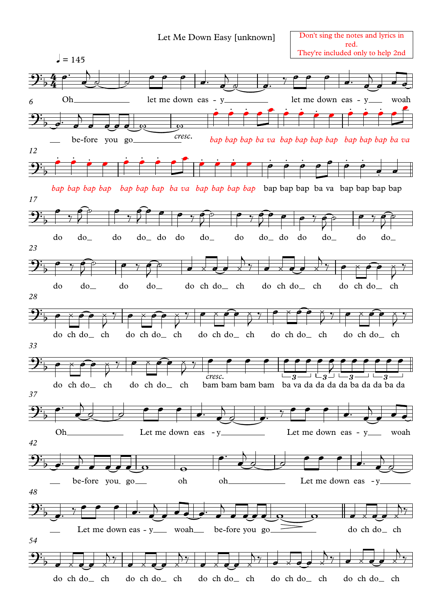## Let Me Down Easy [unknown]

Don't sing the notes and lyrics in red. They're included only to help 2nd

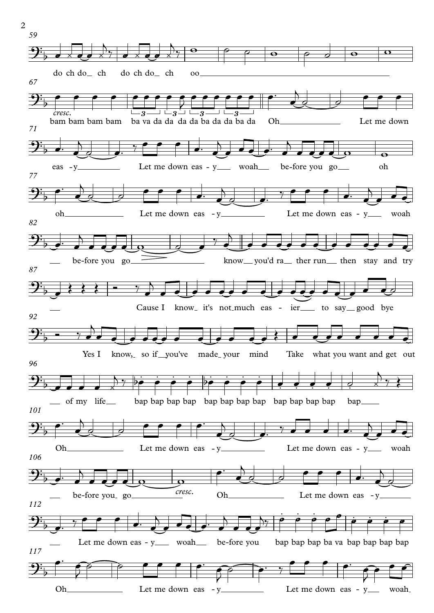